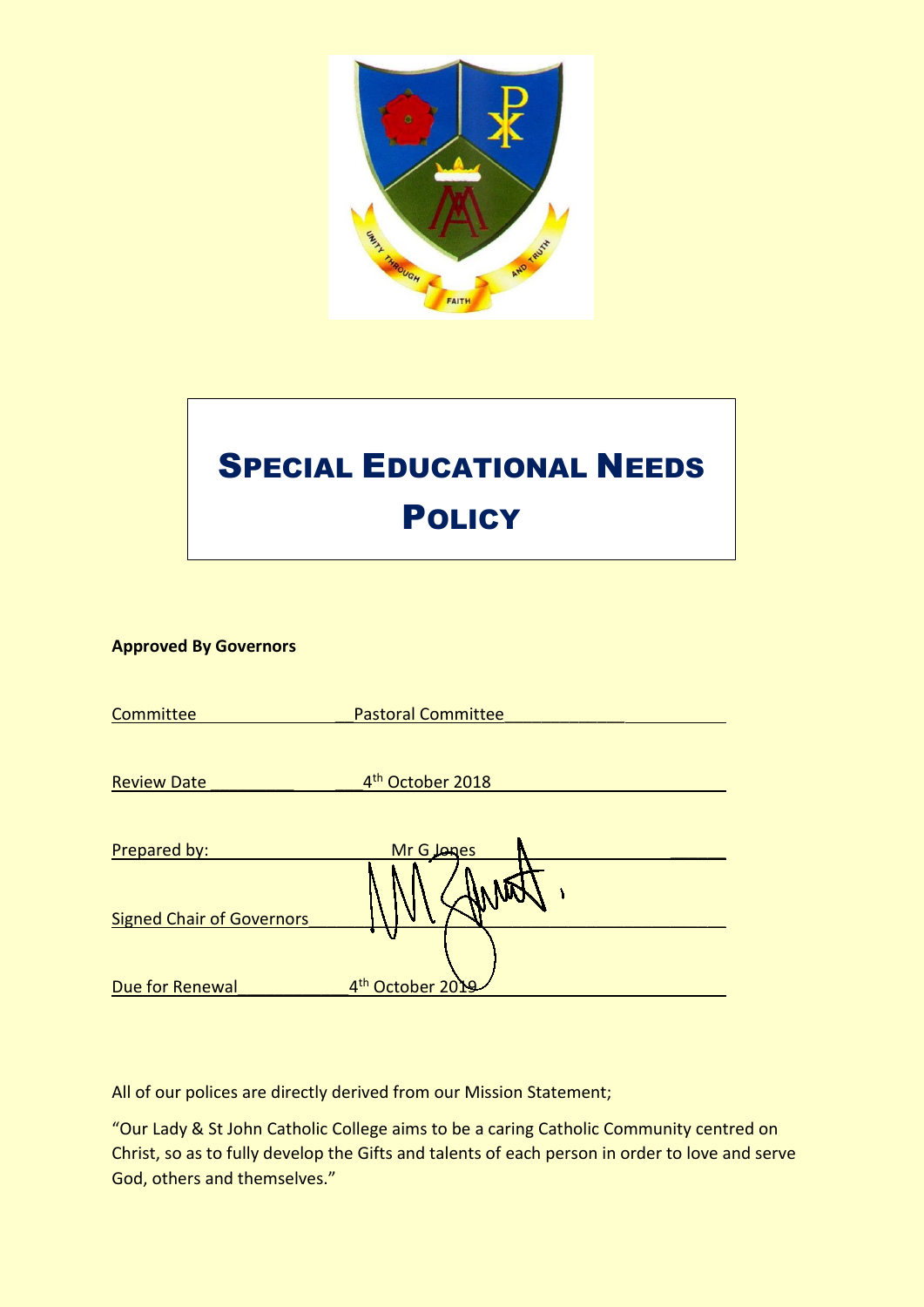

# SPECIAL EDUCATIONAL NEEDS **POLICY**

# **Approved By Governors**

| Committee                        | <b>Pastoral Committee</b>    |
|----------------------------------|------------------------------|
|                                  |                              |
| <b>Review Date</b>               | 4 <sup>th</sup> October 2018 |
|                                  |                              |
| Prepared by:                     | <b>Mr G Jones</b>            |
| <b>Signed Chair of Governors</b> |                              |
|                                  |                              |
| Due for Renewal                  | 4 <sup>th</sup> October 2    |

All of our polices are directly derived from our Mission Statement;

"Our Lady & St John Catholic College aims to be a caring Catholic Community centred on Christ, so as to fully develop the Gifts and talents of each person in order to love and serve God, others and themselves."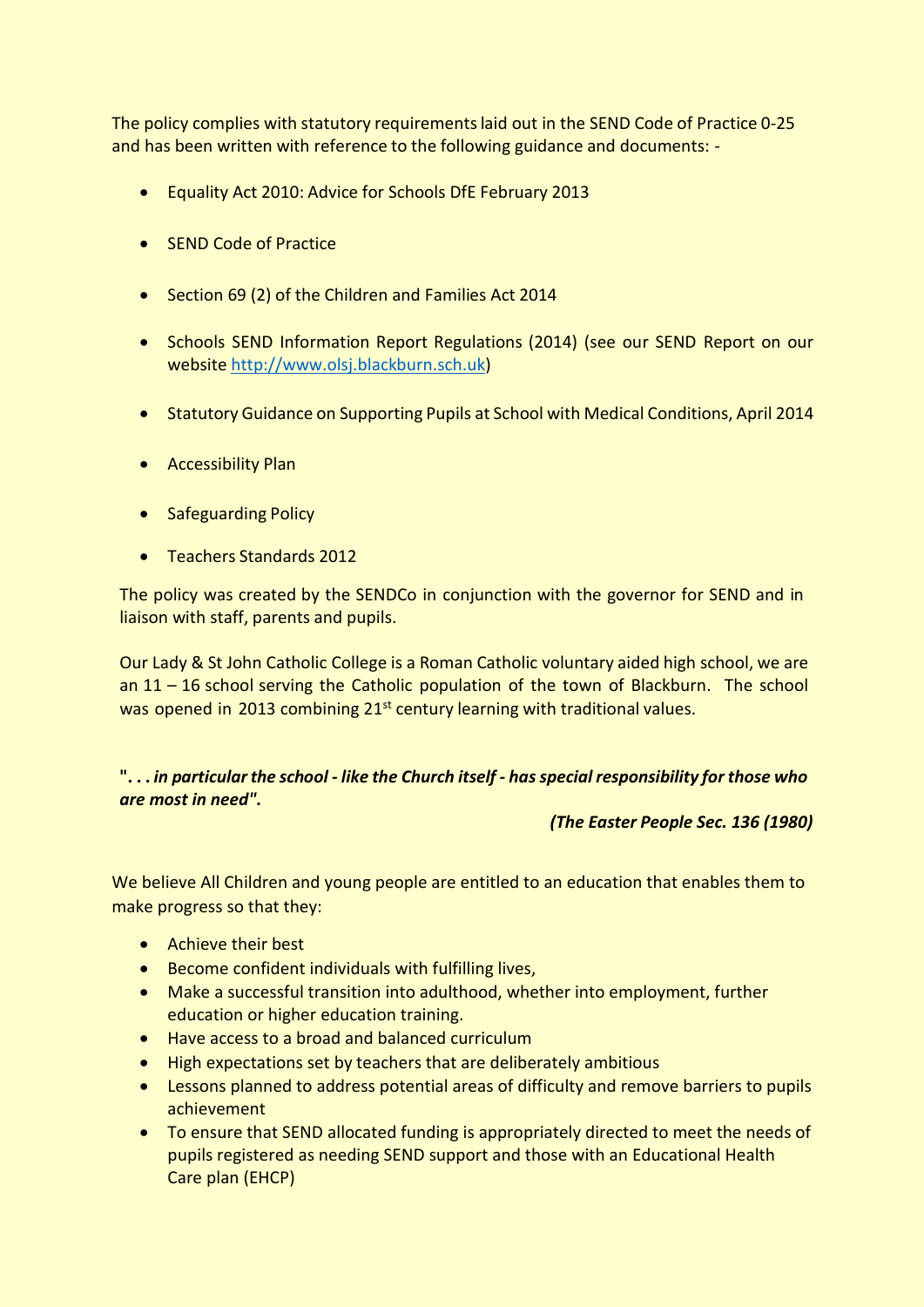The policy complies with statutory requirementslaid out in the SEND Code of Practice 0-25 and has been written with reference to the following guidance and documents: -

- Equality Act 2010: Advice for Schools DfE February 2013
- SEND Code of Practice
- Section 69 (2) of the Children and Families Act 2014
- Schools SEND Information Report Regulations (2014) (see our SEND Report on our website [http://www.olsj.blackburn.sch.uk\)](http://www.olsj.blackburn.sch.uk/)
- Statutory Guidance on Supporting Pupils at School with Medical Conditions, April 2014
- Accessibility Plan
- Safeguarding Policy
- Teachers Standards 2012

The policy was created by the SENDCo in conjunction with the governor for SEND and in liaison with staff, parents and pupils.

Our Lady & St John Catholic College is a Roman Catholic voluntary aided high school, we are an 11 – 16 school serving the Catholic population of the town of Blackburn. The school was opened in 2013 combining 21<sup>st</sup> century learning with traditional values.

# **". . .** *in particularthe school - like the Church itself - has special responsibility for those who are most in need".*

#### *(The Easter People Sec. 136 (1980)*

We believe All Children and young people are entitled to an education that enables them to make progress so that they:

- Achieve their best
- Become confident individuals with fulfilling lives,
- Make a successful transition into adulthood, whether into employment, further education or higher education training.
- Have access to a broad and balanced curriculum
- High expectations set by teachers that are deliberately ambitious
- Lessons planned to address potential areas of difficulty and remove barriers to pupils achievement
- To ensure that SEND allocated funding is appropriately directed to meet the needs of pupils registered as needing SEND support and those with an Educational Health Care plan (EHCP)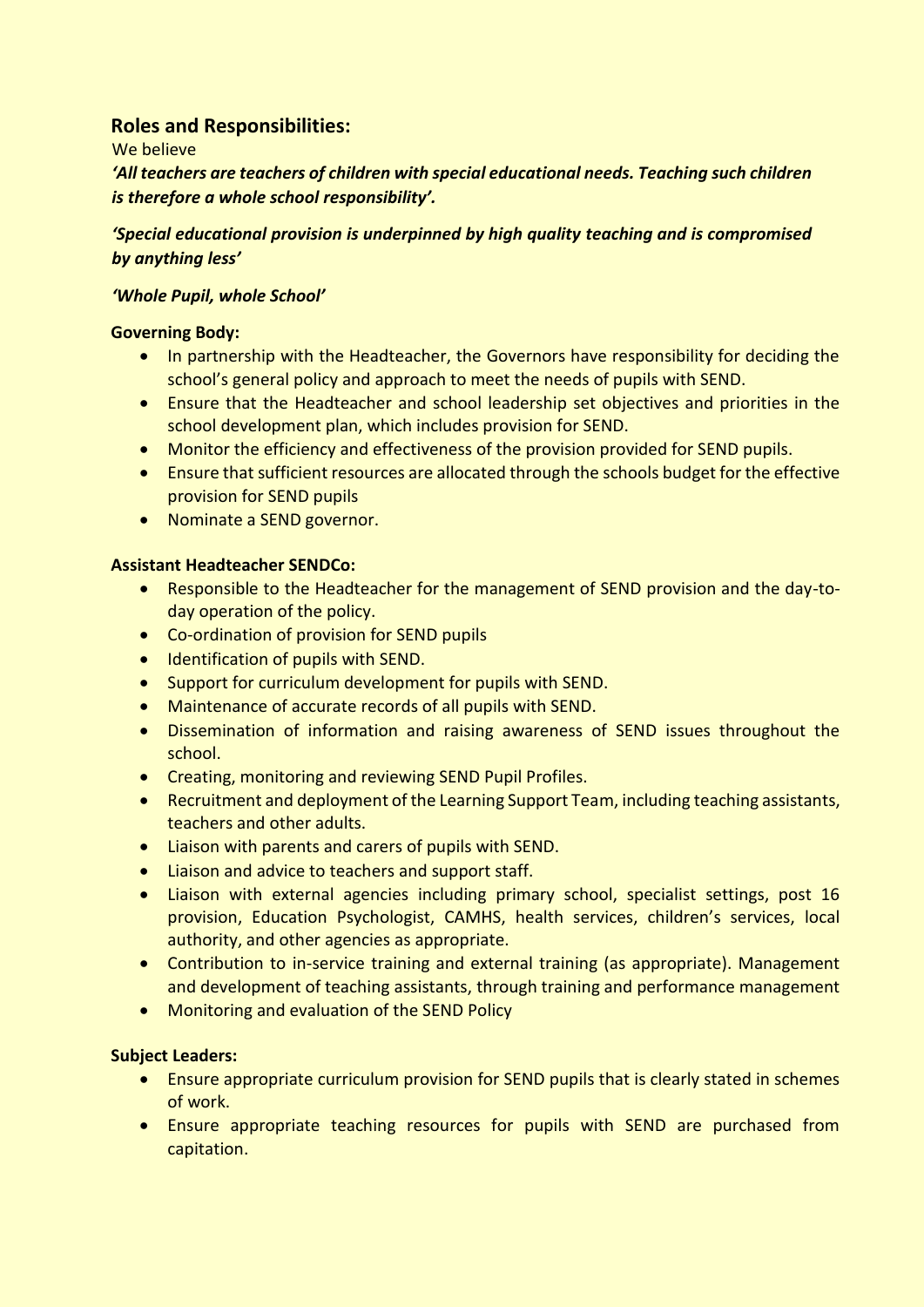# **Roles and Responsibilities:**

We believe

*'All teachers are teachers of children with special educational needs. Teaching such children is therefore a whole school responsibility'.*

*'Special educational provision is underpinned by high quality teaching and is compromised by anything less'*

# *'Whole Pupil, whole School'*

# **Governing Body:**

- In partnership with the Headteacher, the Governors have responsibility for deciding the school's general policy and approach to meet the needs of pupils with SEND.
- Ensure that the Headteacher and school leadership set objectives and priorities in the school development plan, which includes provision for SEND.
- Monitor the efficiency and effectiveness of the provision provided for SEND pupils.
- Ensure that sufficient resources are allocated through the schools budget for the effective provision for SEND pupils
- Nominate a SEND governor.

# **Assistant Headteacher SENDCo:**

- Responsible to the Headteacher for the management of SEND provision and the day-today operation of the policy.
- Co-ordination of provision for SEND pupils
- Identification of pupils with SEND.
- Support for curriculum development for pupils with SEND.
- Maintenance of accurate records of all pupils with SEND.
- Dissemination of information and raising awareness of SEND issues throughout the school.
- Creating, monitoring and reviewing SEND Pupil Profiles.
- Recruitment and deployment of the Learning Support Team, including teaching assistants, teachers and other adults.
- Liaison with parents and carers of pupils with SEND.
- Liaison and advice to teachers and support staff.
- Liaison with external agencies including primary school, specialist settings, post 16 provision, Education Psychologist, CAMHS, health services, children's services, local authority, and other agencies as appropriate.
- Contribution to in-service training and external training (as appropriate). Management and development of teaching assistants, through training and performance management
- Monitoring and evaluation of the SEND Policy

# **Subject Leaders:**

- Ensure appropriate curriculum provision for SEND pupils that is clearly stated in schemes of work.
- Ensure appropriate teaching resources for pupils with SEND are purchased from capitation.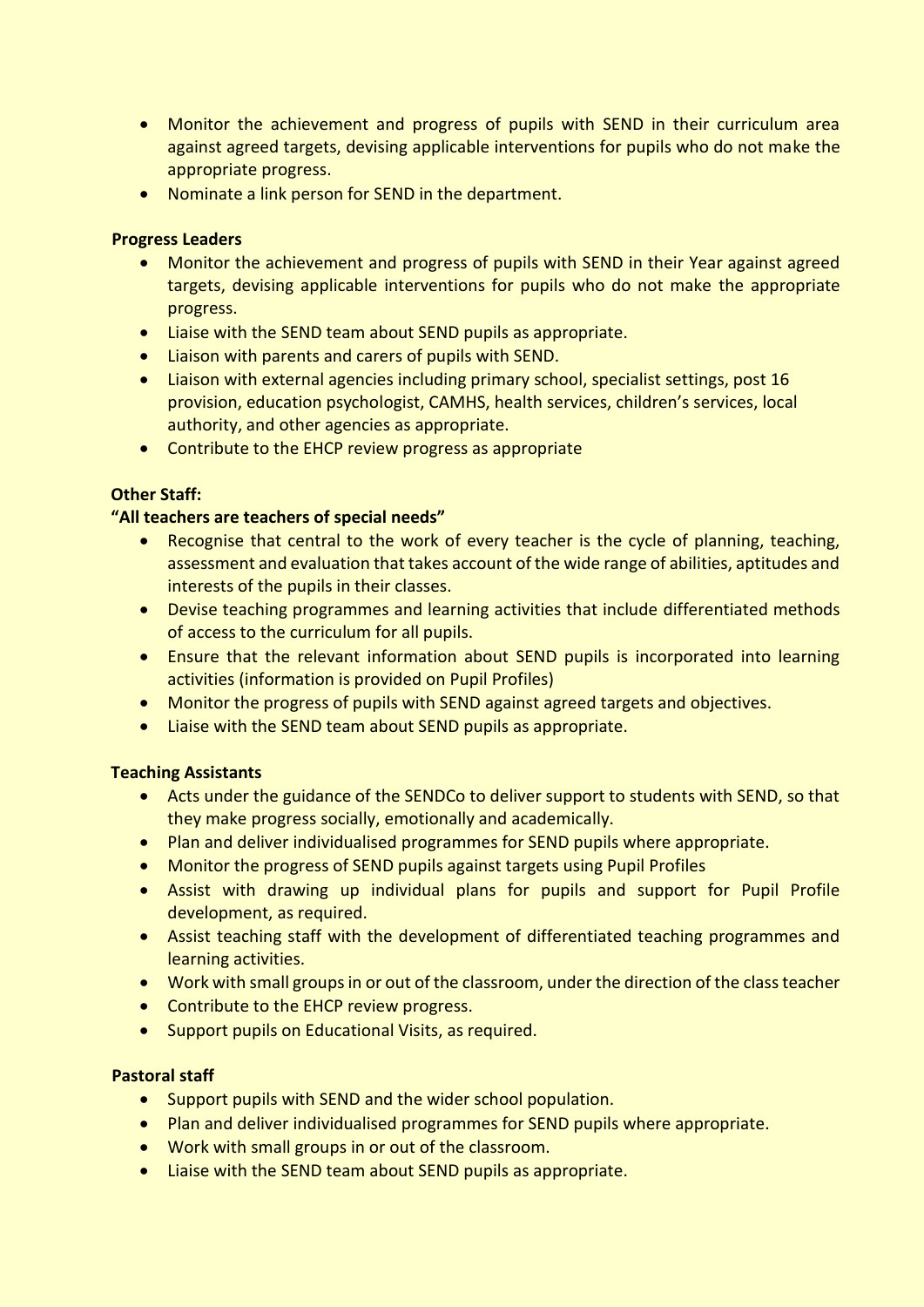- Monitor the achievement and progress of pupils with SEND in their curriculum area against agreed targets, devising applicable interventions for pupils who do not make the appropriate progress.
- Nominate a link person for SEND in the department.

# **Progress Leaders**

- Monitor the achievement and progress of pupils with SEND in their Year against agreed targets, devising applicable interventions for pupils who do not make the appropriate progress.
- Liaise with the SEND team about SEND pupils as appropriate.
- Liaison with parents and carers of pupils with SEND.
- Liaison with external agencies including primary school, specialist settings, post 16 provision, education psychologist, CAMHS, health services, children's services, local authority, and other agencies as appropriate.
- Contribute to the EHCP review progress as appropriate

# **Other Staff:**

# **"All teachers are teachers of special needs"**

- Recognise that central to the work of every teacher is the cycle of planning, teaching, assessment and evaluation that takes account of the wide range of abilities, aptitudes and interests of the pupils in their classes.
- Devise teaching programmes and learning activities that include differentiated methods of access to the curriculum for all pupils.
- Ensure that the relevant information about SEND pupils is incorporated into learning activities (information is provided on Pupil Profiles)
- Monitor the progress of pupils with SEND against agreed targets and objectives.
- Liaise with the SEND team about SEND pupils as appropriate.

#### **Teaching Assistants**

- Acts under the guidance of the SENDCo to deliver support to students with SEND, so that they make progress socially, emotionally and academically.
- Plan and deliver individualised programmes for SEND pupils where appropriate.
- Monitor the progress of SEND pupils against targets using Pupil Profiles
- Assist with drawing up individual plans for pupils and support for Pupil Profile development, as required.
- Assist teaching staff with the development of differentiated teaching programmes and learning activities.
- Work with small groups in or out of the classroom, under the direction of the class teacher
- Contribute to the EHCP review progress.
- Support pupils on Educational Visits, as required.

#### **Pastoral staff**

- Support pupils with SEND and the wider school population.
- Plan and deliver individualised programmes for SEND pupils where appropriate.
- Work with small groups in or out of the classroom.
- Liaise with the SEND team about SEND pupils as appropriate.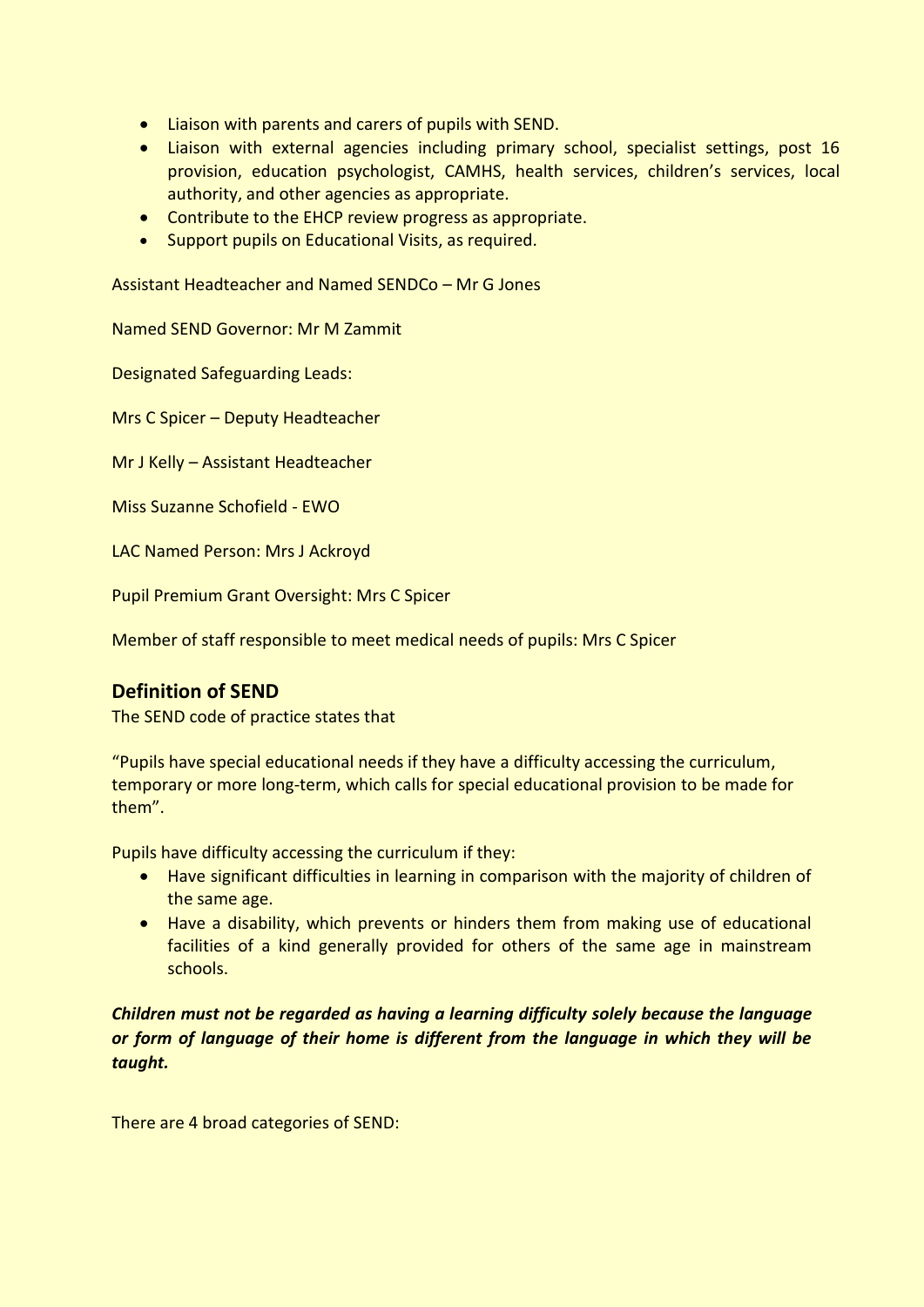- Liaison with parents and carers of pupils with SEND.
- Liaison with external agencies including primary school, specialist settings, post 16 provision, education psychologist, CAMHS, health services, children's services, local authority, and other agencies as appropriate.
- Contribute to the EHCP review progress as appropriate.
- Support pupils on Educational Visits, as required.

Assistant Headteacher and Named SENDCo – Mr G Jones

Named SEND Governor: Mr M Zammit

Designated Safeguarding Leads:

Mrs C Spicer – Deputy Headteacher

Mr J Kelly – Assistant Headteacher

Miss Suzanne Schofield - EWO

LAC Named Person: Mrs J Ackroyd

Pupil Premium Grant Oversight: Mrs C Spicer

Member of staff responsible to meet medical needs of pupils: Mrs C Spicer

# **Definition of SEND**

The SEND code of practice states that

"Pupils have special educational needs if they have a difficulty accessing the curriculum, temporary or more long-term, which calls for special educational provision to be made for them".

Pupils have difficulty accessing the curriculum if they:

- Have significant difficulties in learning in comparison with the majority of children of the same age.
- Have a disability, which prevents or hinders them from making use of educational facilities of a kind generally provided for others of the same age in mainstream schools.

*Children must not be regarded as having a learning difficulty solely because the language or form of language of their home is different from the language in which they will be taught.*

There are 4 broad categories of SEND: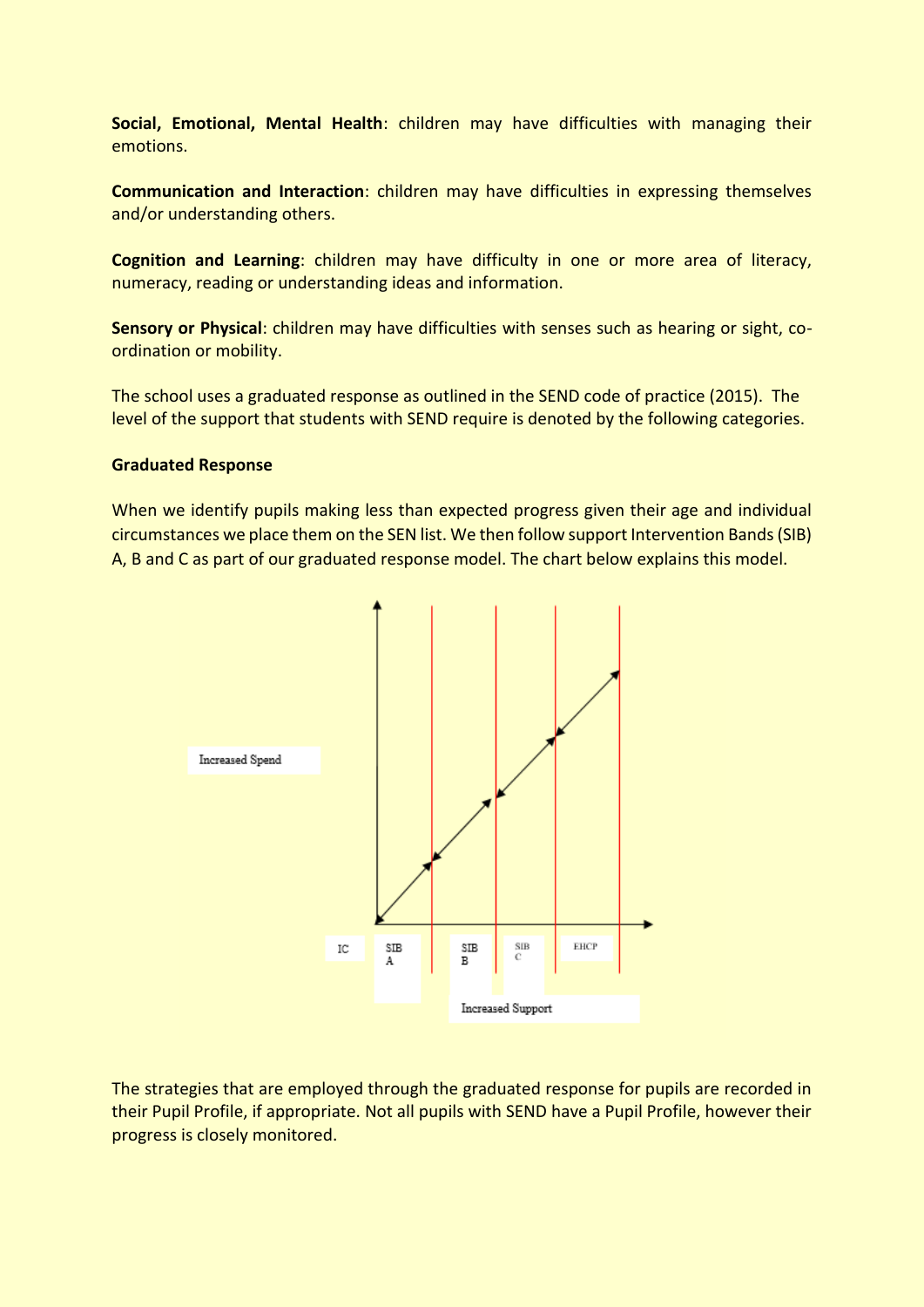**Social, Emotional, Mental Health**: children may have difficulties with managing their emotions.

**Communication and Interaction**: children may have difficulties in expressing themselves and/or understanding others.

**Cognition and Learning**: children may have difficulty in one or more area of literacy, numeracy, reading or understanding ideas and information.

**Sensory or Physical**: children may have difficulties with senses such as hearing or sight, coordination or mobility.

The school uses a graduated response as outlined in the SEND code of practice (2015). The level of the support that students with SEND require is denoted by the following categories.

#### **Graduated Response**

When we identify pupils making less than expected progress given their age and individual circumstances we place them on the SEN list. We then follow support Intervention Bands (SIB) A, B and C as part of our graduated response model. The chart below explains this model.



The strategies that are employed through the graduated response for pupils are recorded in their Pupil Profile, if appropriate. Not all pupils with SEND have a Pupil Profile, however their progress is closely monitored.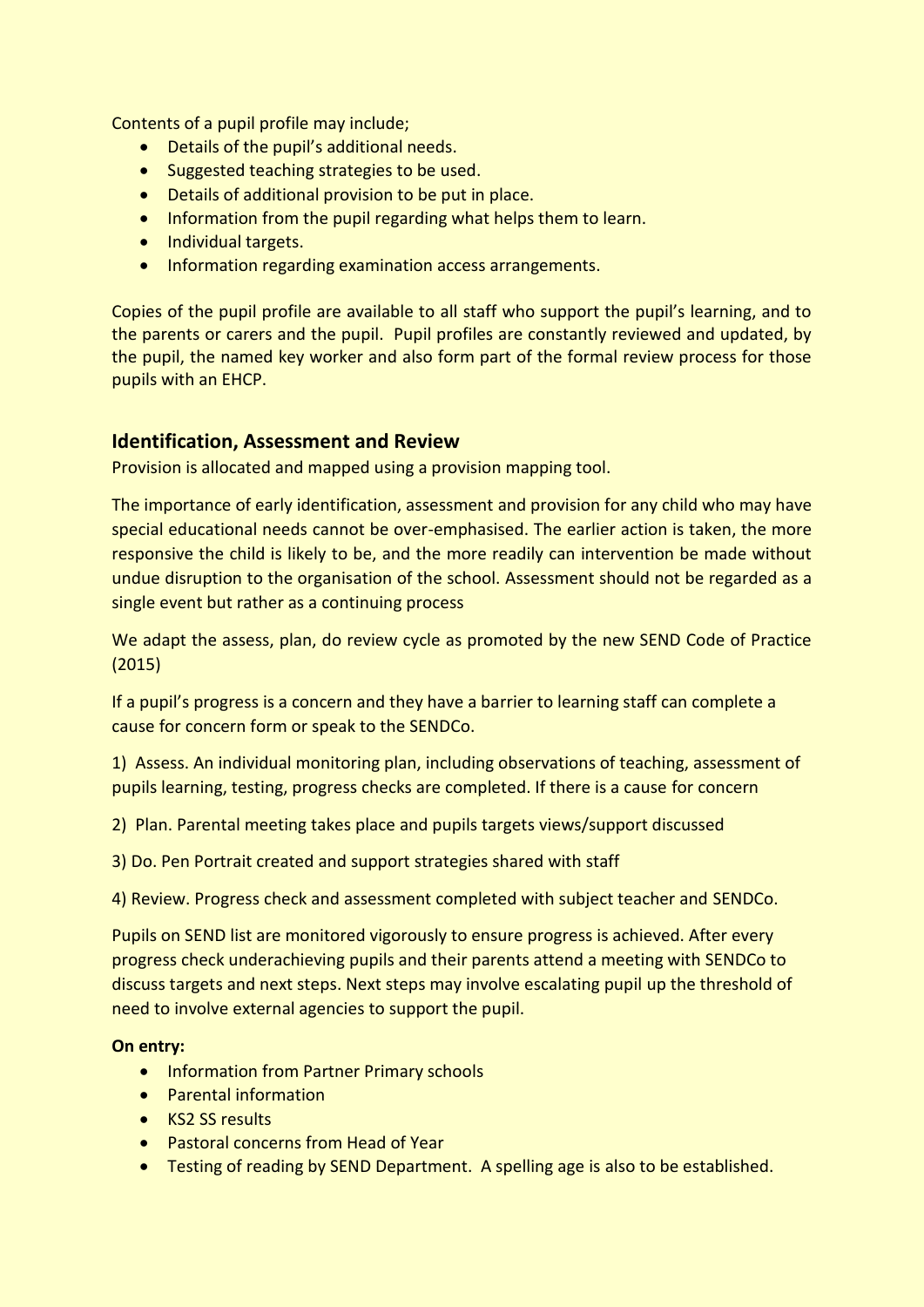Contents of a pupil profile may include;

- Details of the pupil's additional needs.
- Suggested teaching strategies to be used.
- Details of additional provision to be put in place.
- Information from the pupil regarding what helps them to learn.
- Individual targets.
- Information regarding examination access arrangements.

Copies of the pupil profile are available to all staff who support the pupil's learning, and to the parents or carers and the pupil. Pupil profiles are constantly reviewed and updated, by the pupil, the named key worker and also form part of the formal review process for those pupils with an EHCP.

# **Identification, Assessment and Review**

Provision is allocated and mapped using a provision mapping tool.

The importance of early identification, assessment and provision for any child who may have special educational needs cannot be over-emphasised. The earlier action is taken, the more responsive the child is likely to be, and the more readily can intervention be made without undue disruption to the organisation of the school. Assessment should not be regarded as a single event but rather as a continuing process

We adapt the assess, plan, do review cycle as promoted by the new SEND Code of Practice (2015)

If a pupil's progress is a concern and they have a barrier to learning staff can complete a cause for concern form or speak to the SENDCo.

1) Assess. An individual monitoring plan, including observations of teaching, assessment of pupils learning, testing, progress checks are completed. If there is a cause for concern

- 2) Plan. Parental meeting takes place and pupils targets views/support discussed
- 3) Do. Pen Portrait created and support strategies shared with staff

4) Review. Progress check and assessment completed with subject teacher and SENDCo.

Pupils on SEND list are monitored vigorously to ensure progress is achieved. After every progress check underachieving pupils and their parents attend a meeting with SENDCo to discuss targets and next steps. Next steps may involve escalating pupil up the threshold of need to involve external agencies to support the pupil.

#### **On entry:**

- Information from Partner Primary schools
- Parental information
- KS2 SS results
- Pastoral concerns from Head of Year
- Testing of reading by SEND Department. A spelling age is also to be established.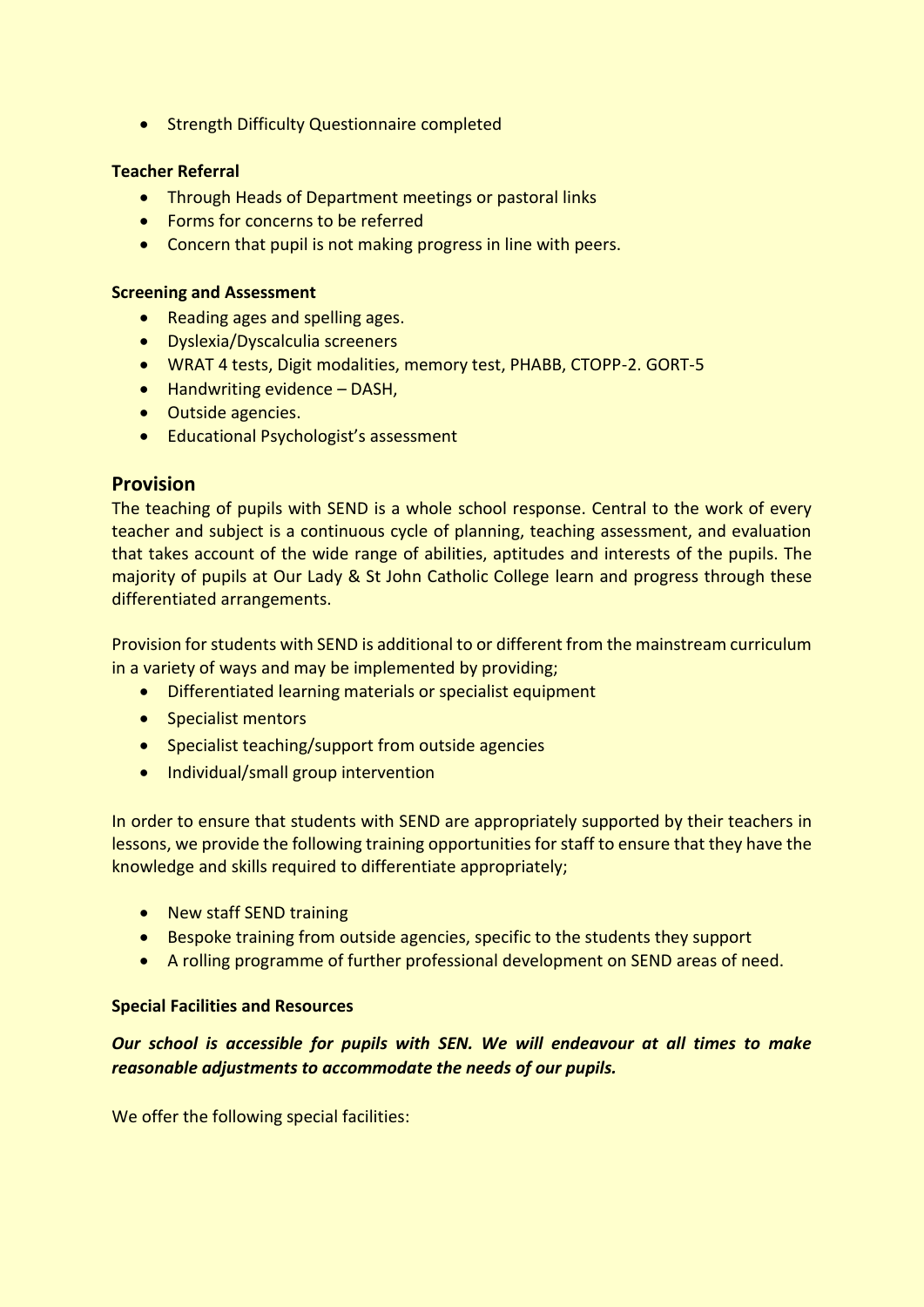• Strength Difficulty Questionnaire completed

## **Teacher Referral**

- Through Heads of Department meetings or pastoral links
- Forms for concerns to be referred
- Concern that pupil is not making progress in line with peers.

#### **Screening and Assessment**

- Reading ages and spelling ages.
- Dyslexia/Dyscalculia screeners
- WRAT 4 tests, Digit modalities, memory test, PHABB, CTOPP-2. GORT-5
- Handwriting evidence DASH,
- Outside agencies.
- Educational Psychologist's assessment

# **Provision**

The teaching of pupils with SEND is a whole school response. Central to the work of every teacher and subject is a continuous cycle of planning, teaching assessment, and evaluation that takes account of the wide range of abilities, aptitudes and interests of the pupils. The majority of pupils at Our Lady & St John Catholic College learn and progress through these differentiated arrangements.

Provision for students with SEND is additional to or different from the mainstream curriculum in a variety of ways and may be implemented by providing;

- Differentiated learning materials or specialist equipment
- Specialist mentors
- Specialist teaching/support from outside agencies
- Individual/small group intervention

In order to ensure that students with SEND are appropriately supported by their teachers in lessons, we provide the following training opportunities for staff to ensure that they have the knowledge and skills required to differentiate appropriately;

- New staff SEND training
- Bespoke training from outside agencies, specific to the students they support
- A rolling programme of further professional development on SEND areas of need.

#### **Special Facilities and Resources**

*Our school is accessible for pupils with SEN. We will endeavour at all times to make reasonable adjustments to accommodate the needs of our pupils.* 

We offer the following special facilities: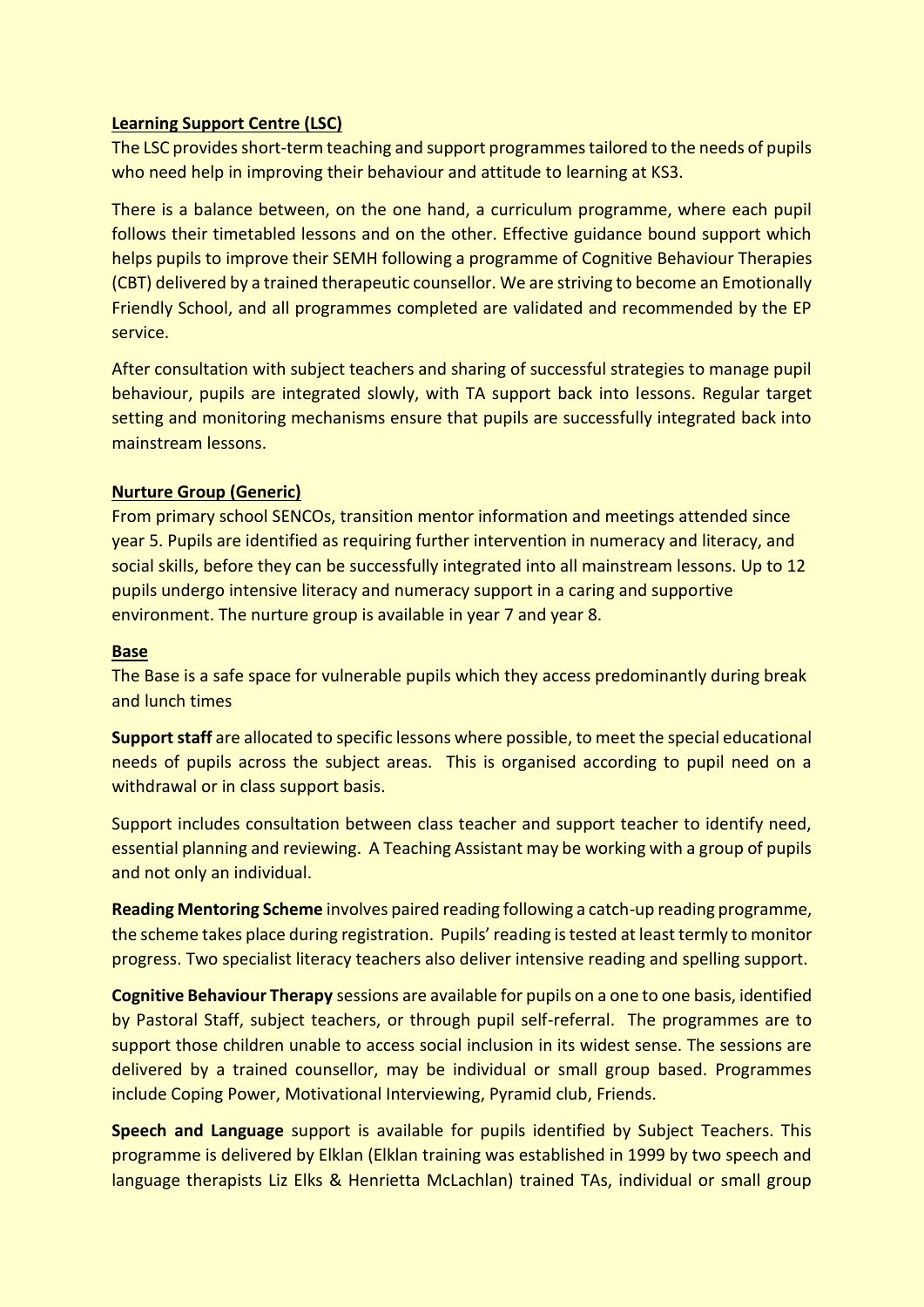# **Learning Support Centre (LSC)**

The LSC provides short-term teaching and support programmes tailored to the needs of pupils who need help in improving their behaviour and attitude to learning at KS3.

There is a balance between, on the one hand, a curriculum programme, where each pupil follows their timetabled lessons and on the other. Effective guidance bound support which helps pupils to improve their SEMH following a programme of Cognitive Behaviour Therapies (CBT) delivered by a trained therapeutic counsellor. We are striving to become an Emotionally Friendly School, and all programmes completed are validated and recommended by the EP service.

After consultation with subject teachers and sharing of successful strategies to manage pupil behaviour, pupils are integrated slowly, with TA support back into lessons. Regular target setting and monitoring mechanisms ensure that pupils are successfully integrated back into mainstream lessons.

# **Nurture Group (Generic)**

From primary school SENCOs, transition mentor information and meetings attended since year 5. Pupils are identified as requiring further intervention in numeracy and literacy, and social skills, before they can be successfully integrated into all mainstream lessons. Up to 12 pupils undergo intensive literacy and numeracy support in a caring and supportive environment. The nurture group is available in year 7 and year 8.

#### **Base**

The Base is a safe space for vulnerable pupils which they access predominantly during break and lunch times

**Support staff** are allocated to specific lessons where possible, to meet the special educational needs of pupils across the subject areas. This is organised according to pupil need on a withdrawal or in class support basis.

Support includes consultation between class teacher and support teacher to identify need, essential planning and reviewing. A Teaching Assistant may be working with a group of pupils and not only an individual.

**Reading Mentoring Scheme** involves paired reading following a catch-up reading programme, the scheme takes place during registration. Pupils' reading is tested at least termly to monitor progress. Two specialist literacy teachers also deliver intensive reading and spelling support.

**Cognitive Behaviour Therapy** sessions are available for pupils on a one to one basis, identified by Pastoral Staff, subject teachers, or through pupil self-referral. The programmes are to support those children unable to access social inclusion in its widest sense. The sessions are delivered by a trained counsellor, may be individual or small group based. Programmes include Coping Power, Motivational Interviewing, Pyramid club, Friends.

**Speech and Language** support is available for pupils identified by Subject Teachers. This programme is delivered by Elklan (Elklan training was established in 1999 by two speech and language therapists Liz Elks & Henrietta McLachlan) trained TAs, individual or small group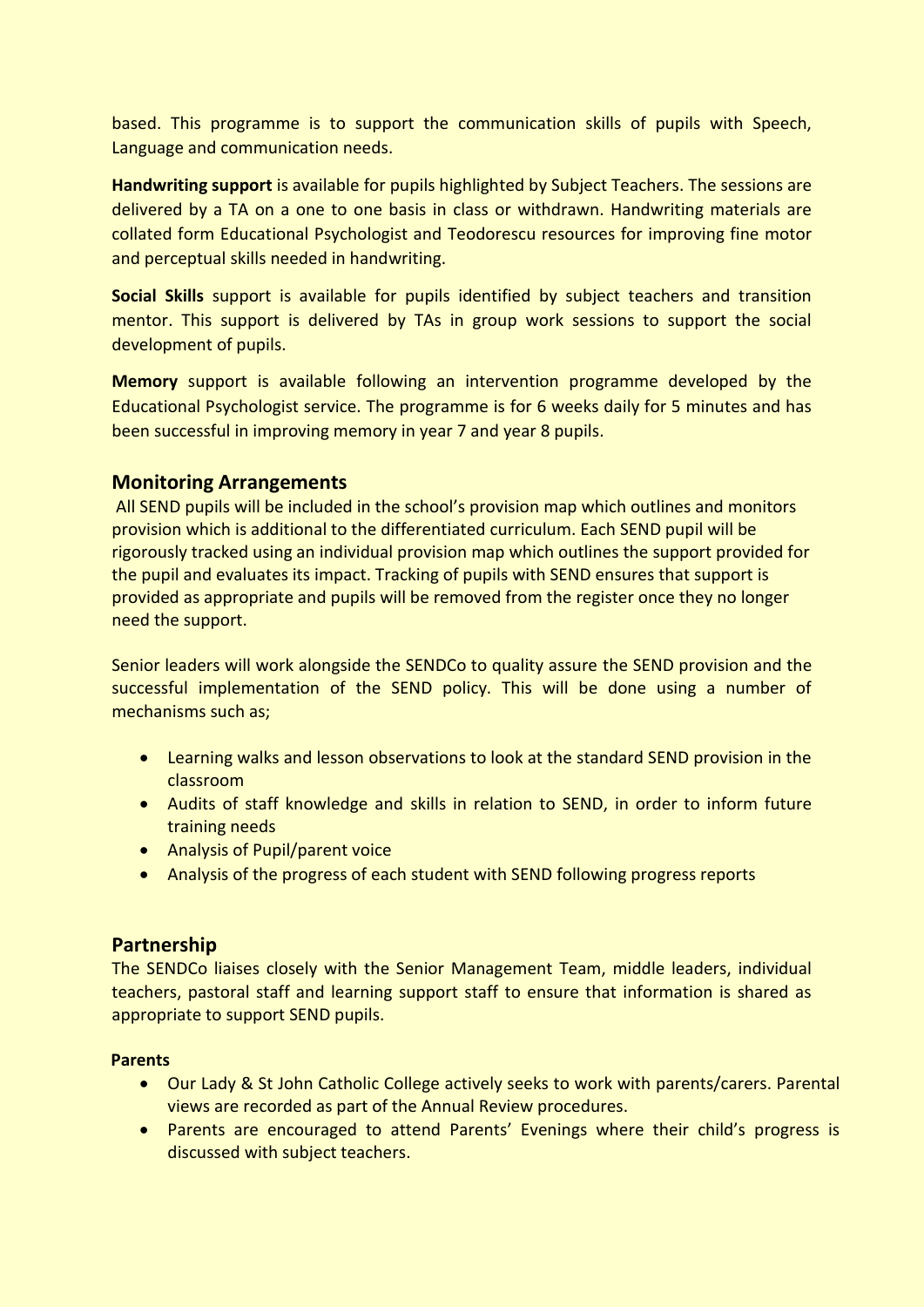based. This programme is to support the communication skills of pupils with Speech, Language and communication needs.

**Handwriting support** is available for pupils highlighted by Subject Teachers. The sessions are delivered by a TA on a one to one basis in class or withdrawn. Handwriting materials are collated form Educational Psychologist and Teodorescu resources for improving fine motor and perceptual skills needed in handwriting.

**Social Skills** support is available for pupils identified by subject teachers and transition mentor. This support is delivered by TAs in group work sessions to support the social development of pupils.

**Memory** support is available following an intervention programme developed by the Educational Psychologist service. The programme is for 6 weeks daily for 5 minutes and has been successful in improving memory in year 7 and year 8 pupils.

# **Monitoring Arrangements**

All SEND pupils will be included in the school's provision map which outlines and monitors provision which is additional to the differentiated curriculum. Each SEND pupil will be rigorously tracked using an individual provision map which outlines the support provided for the pupil and evaluates its impact. Tracking of pupils with SEND ensures that support is provided as appropriate and pupils will be removed from the register once they no longer need the support.

Senior leaders will work alongside the SENDCo to quality assure the SEND provision and the successful implementation of the SEND policy. This will be done using a number of mechanisms such as;

- Learning walks and lesson observations to look at the standard SEND provision in the classroom
- Audits of staff knowledge and skills in relation to SEND, in order to inform future training needs
- Analysis of Pupil/parent voice
- Analysis of the progress of each student with SEND following progress reports

# **Partnership**

The SENDCo liaises closely with the Senior Management Team, middle leaders, individual teachers, pastoral staff and learning support staff to ensure that information is shared as appropriate to support SEND pupils.

# **Parents**

- Our Lady & St John Catholic College actively seeks to work with parents/carers. Parental views are recorded as part of the Annual Review procedures.
- Parents are encouraged to attend Parents' Evenings where their child's progress is discussed with subject teachers.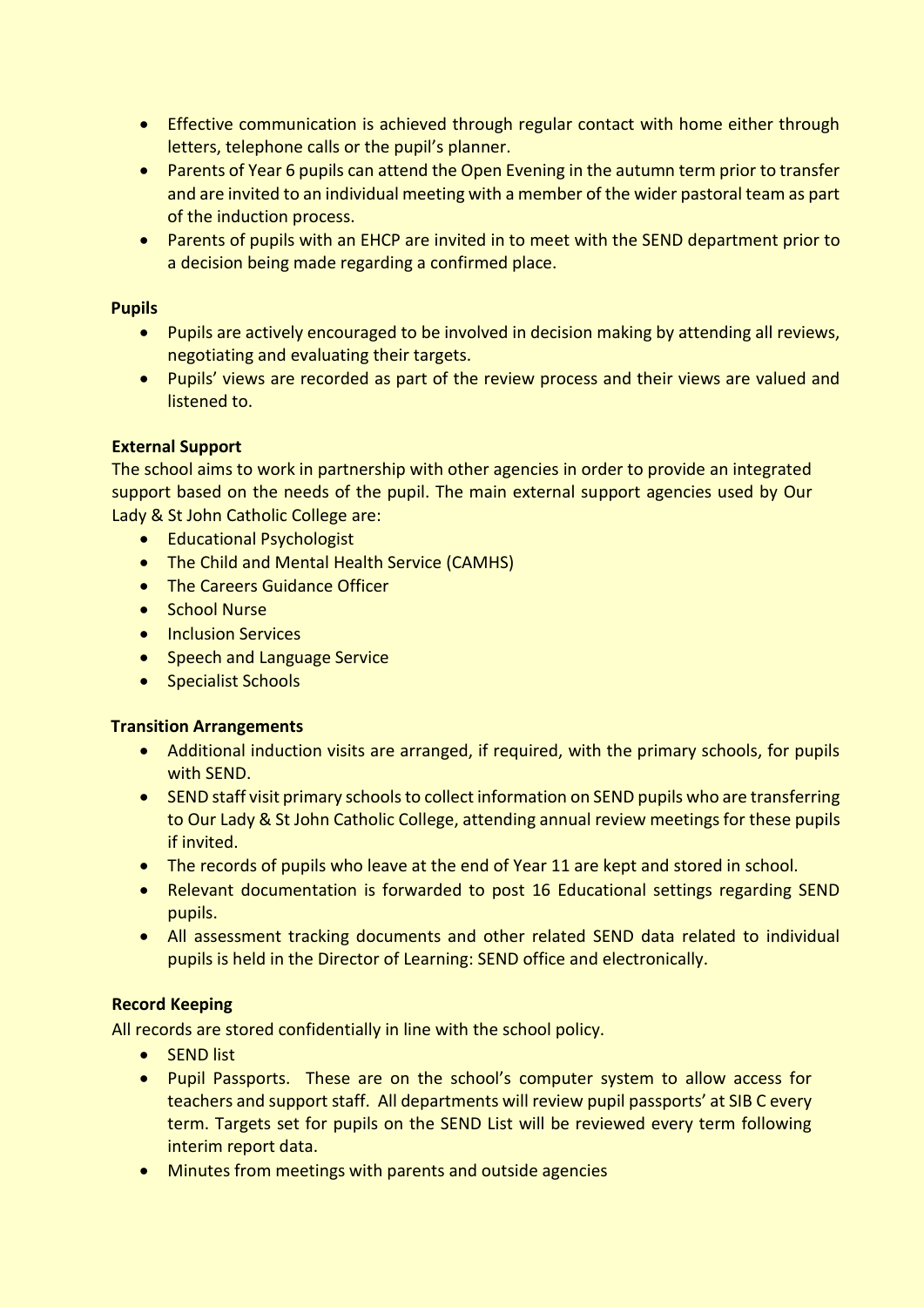- Effective communication is achieved through regular contact with home either through letters, telephone calls or the pupil's planner.
- Parents of Year 6 pupils can attend the Open Evening in the autumn term prior to transfer and are invited to an individual meeting with a member of the wider pastoral team as part of the induction process.
- Parents of pupils with an EHCP are invited in to meet with the SEND department prior to a decision being made regarding a confirmed place.

# **Pupils**

- Pupils are actively encouraged to be involved in decision making by attending all reviews, negotiating and evaluating their targets.
- Pupils' views are recorded as part of the review process and their views are valued and listened to.

# **External Support**

The school aims to work in partnership with other agencies in order to provide an integrated support based on the needs of the pupil. The main external support agencies used by Our Lady & St John Catholic College are:

- Educational Psychologist
- The Child and Mental Health Service (CAMHS)
- The Careers Guidance Officer
- School Nurse
- Inclusion Services
- Speech and Language Service
- Specialist Schools

# **Transition Arrangements**

- Additional induction visits are arranged, if required, with the primary schools, for pupils with SEND.
- SEND staff visit primary schools to collect information on SEND pupils who are transferring to Our Lady & St John Catholic College, attending annual review meetings for these pupils if invited.
- The records of pupils who leave at the end of Year 11 are kept and stored in school.
- Relevant documentation is forwarded to post 16 Educational settings regarding SEND pupils.
- All assessment tracking documents and other related SEND data related to individual pupils is held in the Director of Learning: SEND office and electronically.

# **Record Keeping**

All records are stored confidentially in line with the school policy.

- SEND list
- Pupil Passports. These are on the school's computer system to allow access for teachers and support staff. All departments will review pupil passports' at SIB C every term. Targets set for pupils on the SEND List will be reviewed every term following interim report data.
- Minutes from meetings with parents and outside agencies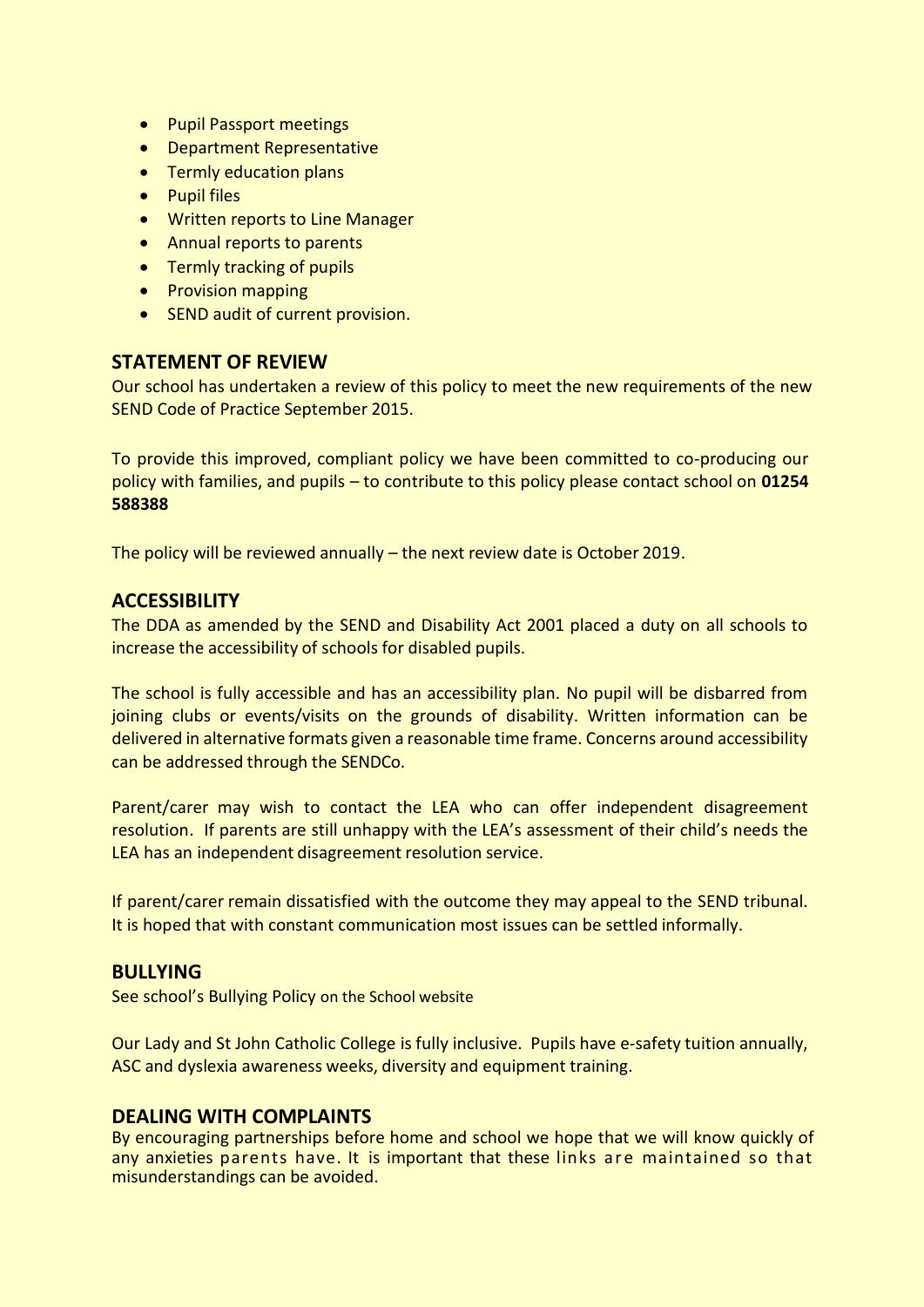- Pupil Passport meetings
- Department Representative
- Termly education plans
- Pupil files
- Written reports to Line Manager
- Annual reports to parents
- Termly tracking of pupils
- Provision mapping
- SEND audit of current provision.

# **STATEMENT OF REVIEW**

Our school has undertaken a review of this policy to meet the new requirements of the new SEND Code of Practice September 2015.

To provide this improved, compliant policy we have been committed to co-producing our policy with families, and pupils – to contribute to this policy please contact school on **01254 588388**

The policy will be reviewed annually – the next review date is October 2019.

# **ACCESSIBILITY**

The DDA as amended by the SEND and Disability Act 2001 placed a duty on all schools to increase the accessibility of schools for disabled pupils.

The school is fully accessible and has an accessibility plan. No pupil will be disbarred from joining clubs or events/visits on the grounds of disability. Written information can be delivered in alternative formats given a reasonable time frame. Concerns around accessibility can be addressed through the SENDCo.

Parent/carer may wish to contact the LEA who can offer independent disagreement resolution. If parents are still unhappy with the LEA's assessment of their child's needs the LEA has an independent disagreement resolution service.

If parent/carer remain dissatisfied with the outcome they may appeal to the SEND tribunal. It is hoped that with constant communication most issues can be settled informally.

#### **BULLYING**

See school's Bullying Policy on the School website

Our Lady and St John Catholic College is fully inclusive. Pupils have e-safety tuition annually, ASC and dyslexia awareness weeks, diversity and equipment training.

# **DEALING WITH COMPLAINTS**

By encouraging partnerships before home and school we hope that we will know quickly of any anxieties parents have. It is important that these links are maintained so that misunderstandings can be avoided.